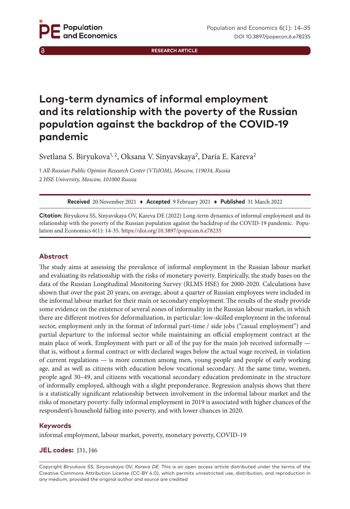**RESEARCH ARTICLE**

# **Long-term dynamics of informal employment and its relationship with the poverty of the Russian population against the backdrop of the COVID-19 pandemic**

Svetlana S. Biryukova<sup>1, 2</sup>, Oksana V. Sinyavskaya<sup>2</sup>, Daria E. Kareva<sup>2</sup>

1 *All-Russian Public Opinion Research Center (VTsIOM), Moscow, 119034, Russia* 2 *HSE University, Moscow, 101000 Russia*

**Received** 20 November 2021 ♦ **Accepted** 9 February 2021 ♦ **Published** 31 March 2022

**Citation:** Biryukova SS, Sinyavskaya OV, Kareva DE (2022) Long-term dynamics of informal employment and its relationship with the poverty of the Russian population against the backdrop of the COVID-19 pandemic. Population and Economics 6(1): 14-35.<https://doi.org/10.3897/popecon.6.e78235>

#### **Abstract**

The study aims at assessing the prevalence of informal employment in the Russian labour market and evaluating its relationship with the risks of monetary poverty. Empirically, the study bases on the data of the Russian Longitudinal Monitoring Survey (RLMS HSE) for 2000-2020. Calculations have shown that over the past 20 years, on average, about a quarter of Russian employees were included in the informal labour market for their main or secondary employment. The results of the study provide some evidence on the existence of several zones of informality in the Russian labour market, in which there are different motives for deformalization, in particular: low-skilled employment in the informal sector, employment only in the format of informal part-time / side jobs ("casual employment") and partial departure to the informal sector while maintaining an official employment contract at the main place of work. Employment with part or all of the pay for the main job received informally that is, without a formal contract or with declared wages below the actual wage received, in violation of current regulations — is more common among men, young people and people of early working age, and as well as citizens with education below vocational secondary. At the same time, women, people aged 30–49, and citizens with vocational secondary education predominate in the structure of informally employed, although with a slight preponderance. Regression analysis shows that there is a statistically significant relationship between involvement in the informal labour market and the risks of monetary poverty: fully informal employment in 2019 is associated with higher chances of the respondent's household falling into poverty, and with lower chances in 2020.

#### **Keywords**

informal employment, labour market, poverty, monetary poverty, COVID-19

#### **JEL codes:** J31, J46

Copyright *Biryukova SS, Sinyavskaya OV, Kareva DE.* This is an open access article distributed under the terms of the Creative Commons Attribution License (CC-BY 4.0), which permits unrestricted use, distribution, and reproduction in any medium, provided the original author and source are credited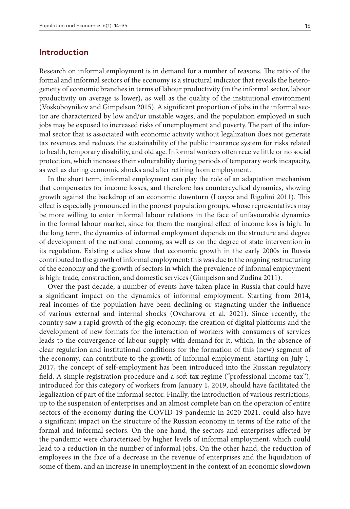## **Introduction**

Research on informal employment is in demand for a number of reasons. The ratio of the formal and informal sectors of the economy is a structural indicator that reveals the heterogeneity of economic branches in terms of labour productivity (in the informal sector, labour productivity on average is lower), as well as the quality of the institutional environment (Voskoboynikov and Gimpelson 2015). A significant proportion of jobs in the informal sector are characterized by low and/or unstable wages, and the population employed in such jobs may be exposed to increased risks of unemployment and poverty. The part of the informal sector that is associated with economic activity without legalization does not generate tax revenues and reduces the sustainability of the public insurance system for risks related to health, temporary disability, and old age. Informal workers often receive little or no social protection, which increases their vulnerability during periods of temporary work incapacity, as well as during economic shocks and after retiring from employment.

In the short term, informal employment can play the role of an adaptation mechanism that compensates for income losses, and therefore has countercyclical dynamics, showing growth against the backdrop of an economic downturn (Loayza and Rigolini 2011). This effect is especially pronounced in the poorest population groups, whose representatives may be more willing to enter informal labour relations in the face of unfavourable dynamics in the formal labour market, since for them the marginal effect of income loss is high. In the long term, the dynamics of informal employment depends on the structure and degree of development of the national economy, as well as on the degree of state intervention in its regulation. Existing studies show that economic growth in the early 2000s in Russia contributed to the growth of informal employment: this was due to the ongoing restructuring of the economy and the growth of sectors in which the prevalence of informal employment is high: trade, construction, and domestic services (Gimpelson and Zudina 2011).

Over the past decade, a number of events have taken place in Russia that could have a significant impact on the dynamics of informal employment. Starting from 2014, real incomes of the population have been declining or stagnating under the influence of various external and internal shocks (Ovcharova et al. 2021). Since recently, the country saw a rapid growth of the gig-economy: the creation of digital platforms and the development of new formats for the interaction of workers with consumers of services leads to the convergence of labour supply with demand for it, which, in the absence of clear regulation and institutional conditions for the formation of this (new) segment of the economy, can contribute to the growth of informal employment. Starting on July 1, 2017, the concept of self-employment has been introduced into the Russian regulatory field. A simple registration procedure and a soft tax regime ("professional income tax"), introduced for this category of workers from January 1, 2019, should have facilitated the legalization of part of the informal sector. Finally, the introduction of various restrictions, up to the suspension of enterprises and an almost complete ban on the operation of entire sectors of the economy during the COVID-19 pandemic in 2020-2021, could also have a significant impact on the structure of the Russian economy in terms of the ratio of the formal and informal sectors. On the one hand, the sectors and enterprises affected by the pandemic were characterized by higher levels of informal employment, which could lead to a reduction in the number of informal jobs. On the other hand, the reduction of employees in the face of a decrease in the revenue of enterprises and the liquidation of some of them, and an increase in unemployment in the context of an economic slowdown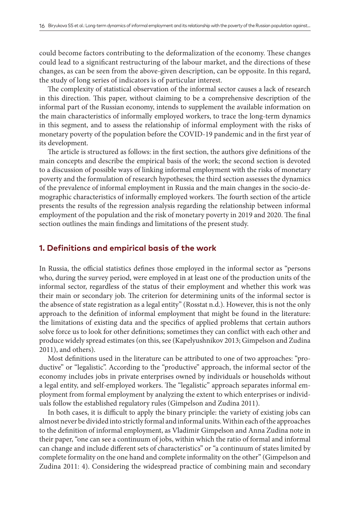could become factors contributing to the deformalization of the economy. These changes could lead to a significant restructuring of the labour market, and the directions of these changes, as can be seen from the above-given description, can be opposite. In this regard, the study of long series of indicators is of particular interest.

The complexity of statistical observation of the informal sector causes a lack of research in this direction. This paper, without claiming to be a comprehensive description of the informal part of the Russian economy, intends to supplement the available information on the main characteristics of informally employed workers, to trace the long-term dynamics in this segment, and to assess the relationship of informal employment with the risks of monetary poverty of the population before the COVID-19 pandemic and in the first year of its development.

The article is structured as follows: in the first section, the authors give definitions of the main concepts and describe the empirical basis of the work; the second section is devoted to a discussion of possible ways of linking informal employment with the risks of monetary poverty and the formulation of research hypotheses; the third section assesses the dynamics of the prevalence of informal employment in Russia and the main changes in the socio-demographic characteristics of informally employed workers. The fourth section of the article presents the results of the regression analysis regarding the relationship between informal employment of the population and the risk of monetary poverty in 2019 and 2020. The final section outlines the main findings and limitations of the present study.

## **1. Definitions and empirical basis of the work**

In Russia, the official statistics defines those employed in the informal sector as "persons who, during the survey period, were employed in at least one of the production units of the informal sector, regardless of the status of their employment and whether this work was their main or secondary job. The criterion for determining units of the informal sector is the absence of state registration as a legal entity" (Rosstat n.d.). However, this is not the only approach to the definition of informal employment that might be found in the literature: the limitations of existing data and the specifics of applied problems that certain authors solve force us to look for other definitions; sometimes they can conflict with each other and produce widely spread estimates (on this, see (Kapelyushnikov 2013; Gimpelson and Zudina 2011), and others).

Most definitions used in the literature can be attributed to one of two approaches: "productive" or "legalistic". According to the "productive" approach, the informal sector of the economy includes jobs in private enterprises owned by individuals or households without a legal entity, and self-employed workers. The "legalistic" approach separates informal employment from formal employment by analyzing the extent to which enterprises or individuals follow the established regulatory rules (Gimpelson and Zudina 2011).

In both cases, it is difficult to apply the binary principle: the variety of existing jobs can almost never be divided into strictly formal and informal units. Within each of the approaches to the definition of informal employment, as Vladimir Gimpelson and Anna Zudina note in their paper, "one can see a continuum of jobs, within which the ratio of formal and informal can change and include different sets of characteristics" or "a continuum of states limited by complete formality on the one hand and complete informality on the other" (Gimpelson and Zudina 2011: 4). Considering the widespread practice of combining main and secondary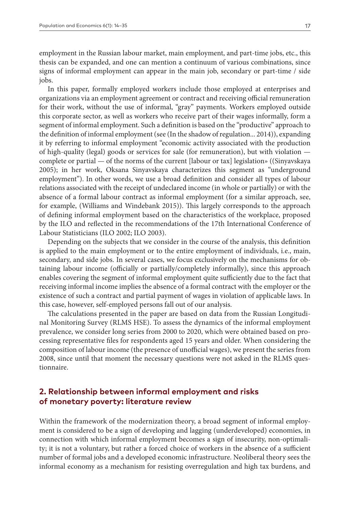employment in the Russian labour market, main employment, and part-time jobs, etc., this thesis can be expanded, and one can mention a continuum of various combinations, since signs of informal employment can appear in the main job, secondary or part-time / side jobs.

In this paper, formally employed workers include those employed at enterprises and organizations via an employment agreement or contract and receiving official remuneration for their work, without the use of informal, "gray" payments. Workers employed outside this corporate sector, as well as workers who receive part of their wages informally, form a segment of informal employment. Such a definition is based on the "productive" approach to the definition of informal employment (see (In the shadow of regulation... 2014)), expanding it by referring to informal employment "economic activity associated with the production of high-quality (legal) goods or services for sale (for remuneration), but with violation complete or partial — of the norms of the current [labour or tax] legislation» ((Sinyavskaya 2005); in her work, Oksana Sinyavskaya characterizes this segment as "underground employment"). In other words, we use a broad definition and consider all types of labour relations associated with the receipt of undeclared income (in whole or partially) or with the absence of a formal labour contract as informal employment (for a similar approach, see, for example, (Williams and Windebank 2015)). This largely corresponds to the approach of defining informal employment based on the characteristics of the workplace, proposed by the ILO and reflected in the recommendations of the 17th International Conference of Labour Statisticians (ILO 2002; ILO 2003).

Depending on the subjects that we consider in the course of the analysis, this definition is applied to the main employment or to the entire employment of individuals, i.e., main, secondary, and side jobs. In several cases, we focus exclusively on the mechanisms for obtaining labour income (officially or partially/completely informally), since this approach enables covering the segment of informal employment quite sufficiently due to the fact that receiving informal income implies the absence of a formal contract with the employer or the existence of such a contract and partial payment of wages in violation of applicable laws. In this case, however, self-employed persons fall out of our analysis.

The calculations presented in the paper are based on data from the Russian Longitudinal Monitoring Survey (RLMS HSE). To assess the dynamics of the informal employment prevalence, we consider long series from 2000 to 2020, which were obtained based on processing representative files for respondents aged 15 years and older. When considering the composition of labour income (the presence of unofficial wages), we present the series from 2008, since until that moment the necessary questions were not asked in the RLMS questionnaire.

# **2. Relationship between informal employment and risks of monetary poverty: literature review**

Within the framework of the modernization theory, a broad segment of informal employment is considered to be a sign of developing and lagging (underdeveloped) economies, in connection with which informal employment becomes a sign of insecurity, non-optimality; it is not a voluntary, but rather a forced choice of workers in the absence of a sufficient number of formal jobs and a developed economic infrastructure. Neoliberal theory sees the informal economy as a mechanism for resisting overregulation and high tax burdens, and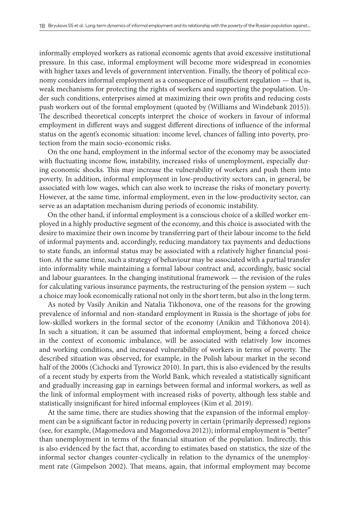informally employed workers as rational economic agents that avoid excessive institutional pressure. In this case, informal employment will become more widespread in economies with higher taxes and levels of government intervention. Finally, the theory of political economy considers informal employment as a consequence of insufficient regulation — that is, weak mechanisms for protecting the rights of workers and supporting the population. Under such conditions, enterprises aimed at maximizing their own profits and reducing costs push workers out of the formal employment (quoted by (Williams and Windebank 2015)). The described theoretical concepts interpret the choice of workers in favour of informal employment in different ways and suggest different directions of influence of the informal status on the agent's economic situation: income level, chances of falling into poverty, protection from the main socio-economic risks.

On the one hand, employment in the informal sector of the economy may be associated with fluctuating income flow, instability, increased risks of unemployment, especially during economic shocks. This may increase the vulnerability of workers and push them into poverty. In addition, informal employment in low-productivity sectors can, in general, be associated with low wages, which can also work to increase the risks of monetary poverty. However, at the same time, informal employment, even in the low-productivity sector, can serve as an adaptation mechanism during periods of economic instability.

On the other hand, if informal employment is a conscious choice of a skilled worker employed in a highly productive segment of the economy, and this choice is associated with the desire to maximize their own income by transferring part of their labour income to the field of informal payments and, accordingly, reducing mandatory tax payments and deductions to state funds, an informal status may be associated with a relatively higher financial position. At the same time, such a strategy of behaviour may be associated with a partial transfer into informality while maintaining a formal labour contract and, accordingly, basic social and labour guarantees. In the changing institutional framework — the revision of the rules for calculating various insurance payments, the restructuring of the pension system — such a choice may look economically rational not only in the short term, but also in the long term.

As noted by Vasily Anikin and Natalia Tikhonova, one of the reasons for the growing prevalence of informal and non-standard employment in Russia is the shortage of jobs for low-skilled workers in the formal sector of the economy (Anikin and Tikhonova 2014). In such a situation, it can be assumed that informal employment, being a forced choice in the context of economic imbalance, will be associated with relatively low incomes and working conditions, and increased vulnerability of workers in terms of poverty. The described situation was observed, for example, in the Polish labour market in the second half of the 2000s (Cichocki and Tyrowicz 2010). In part, this is also evidenced by the results of a recent study by experts from the World Bank, which revealed a statistically significant and gradually increasing gap in earnings between formal and informal workers, as well as the link of informal employment with increased risks of poverty, although less stable and statistically insignificant for hired informal employees (Kim et al. 2019).

At the same time, there are studies showing that the expansion of the informal employment can be a significant factor in reducing poverty in certain (primarily depressed) regions (see, for example, (Magomedova and Magomedova 2012)); informal employment is "better" than unemployment in terms of the financial situation of the population. Indirectly, this is also evidenced by the fact that, according to estimates based on statistics, the size of the informal sector changes counter-cyclically in relation to the dynamics of the unemployment rate (Gimpelson 2002). That means, again, that informal employment may become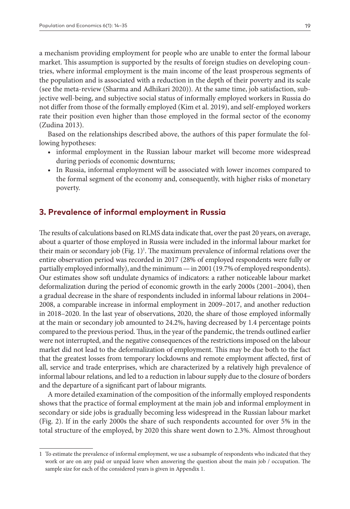a mechanism providing employment for people who are unable to enter the formal labour market. This assumption is supported by the results of foreign studies on developing countries, where informal employment is the main income of the least prosperous segments of the population and is associated with a reduction in the depth of their poverty and its scale (see the meta-review (Sharma and Adhikari 2020)). At the same time, job satisfaction, subjective well-being, and subjective social status of informally employed workers in Russia do not differ from those of the formally employed (Kim et al. 2019), and self-employed workers rate their position even higher than those employed in the formal sector of the economy (Zudina 2013).

Based on the relationships described above, the authors of this paper formulate the following hypotheses:

- informal employment in the Russian labour market will become more widespread during periods of economic downturns;
- In Russia, informal employment will be associated with lower incomes compared to the formal segment of the economy and, consequently, with higher risks of monetary poverty.

# **3. Prevalence of informal employment in Russia**

The results of calculations based on RLMS data indicate that, over the past 20 years, on average, about a quarter of those employed in Russia were included in the informal labour market for their main or secondary job (Fig. 1)<sup>1</sup>. The maximum prevalence of informal relations over the entire observation period was recorded in 2017 (28% of employed respondents were fully or partially employed informally), and the minimum — in 2001 (19.7% of employed respondents). Our estimates show soft undulate dynamics of indicators: a rather noticeable labour market deformalization during the period of economic growth in the early 2000s (2001–2004), then a gradual decrease in the share of respondents included in informal labour relations in 2004– 2008, a comparable increase in informal employment in 2009–2017, and another reduction in 2018–2020. In the last year of observations, 2020, the share of those employed informally at the main or secondary job amounted to 24.2%, having decreased by 1.4 percentage points compared to the previous period. Thus, in the year of the pandemic, the trends outlined earlier were not interrupted, and the negative consequences of the restrictions imposed on the labour market did not lead to the deformalization of employment. This may be due both to the fact that the greatest losses from temporary lockdowns and remote employment affected, first of all, service and trade enterprises, which are characterized by a relatively high prevalence of informal labour relations, and led to a reduction in labour supply due to the closure of borders and the departure of a significant part of labour migrants.

A more detailed examination of the composition of the informally employed respondents shows that the practice of formal employment at the main job and informal employment in secondary or side jobs is gradually becoming less widespread in the Russian labour market (Fig. 2). If in the early 2000s the share of such respondents accounted for over 5% in the total structure of the employed, by 2020 this share went down to 2.3%. Almost throughout

<sup>1</sup> To estimate the prevalence of informal employment, we use a subsample of respondents who indicated that they work or are on any paid or unpaid leave when answering the question about the main job / occupation. The sample size for each of the considered years is given in Appendix 1.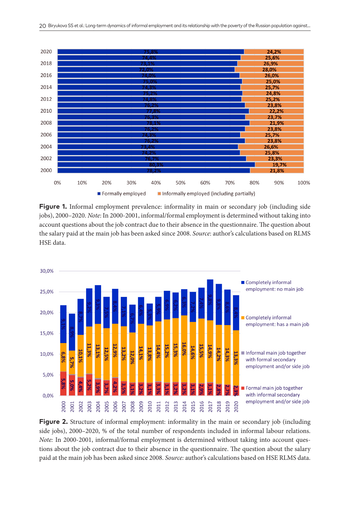

**Figure 1.** Informal employment prevalence: informality in main or secondary job (including side jobs), 2000–2020. *Note*: In 2000-2001, informal/formal employment is determined without taking into account questions about the job contract due to their absence in the questionnaire. The question about the salary paid at the main job has been asked since 2008. *Source*: author's calculations based on RLMS HSE data.



**Figure 2.** Structure of informal employment: informality in the main or secondary job (including side jobs), 2000–2020, % of the total number of respondents included in informal labour relations. *Note:* In 2000-2001, informal/formal employment is determined without taking into account questions about the job contract due to their absence in the questionnaire. The question about the salary paid at the main job has been asked since 2008. *Source:* author's calculations based on HSE RLMS data.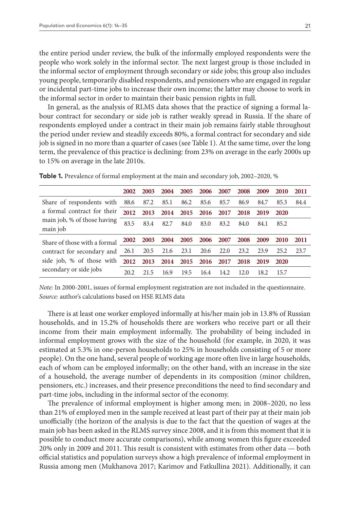the entire period under review, the bulk of the informally employed respondents were the people who work solely in the informal sector. The next largest group is those included in the informal sector of employment through secondary or side jobs; this group also includes young people, temporarily disabled respondents, and pensioners who are engaged in regular or incidental part-time jobs to increase their own income; the latter may choose to work in the informal sector in order to maintain their basic pension rights in full.

In general, as the analysis of RLMS data shows that the practice of signing a formal labour contract for secondary or side job is rather weakly spread in Russia. If the share of respondents employed under a contract in their main job remains fairly stable throughout the period under review and steadily exceeds 80%, a formal contract for secondary and side job is signed in no more than a quarter of cases (see Table 1). At the same time, over the long term, the prevalence of this practice is declining: from 23% on average in the early 2000s up to 15% on average in the late 2010s.

|                                                                        | 2002 | 2003 | 2004 |      | 2005 2006 2007 |                               | 2008 | 2009 | <b>2010</b> | 2011 |
|------------------------------------------------------------------------|------|------|------|------|----------------|-------------------------------|------|------|-------------|------|
| Share of respondents with 88.6 87.2 85.1 86.2 85.6 85.7                |      |      |      |      |                |                               | 86.9 | 84.7 | 85.3        | 84.4 |
| a formal contract for their<br>main job, % of those having<br>main job | 2012 | 2013 |      |      |                | 2014 2015 2016 2017 2018 2019 |      |      | <b>2020</b> |      |
|                                                                        | 83.5 | 83.4 | 82.7 | 84.0 | 83.0           | 83.2                          | 84.0 | 84.1 | 85.2        |      |
| Share of those with a formal 2002 2003 2004 2005 2006 2007 2008        |      |      |      |      |                |                               |      | 2009 | <b>2010</b> | 2011 |
| contract for secondary and 26.1 20.5 21.6 23.1 20.6 22.0 23.2 23.9     |      |      |      |      |                |                               |      |      | 25.2        | 23.7 |
| side job, % of those with 2012 2013 2014 2015 2016 2017 2018           |      |      |      |      |                |                               |      | 2019 | <b>2020</b> |      |
| secondary or side jobs                                                 | 20.2 | 21.5 | 16.9 | 19.5 | 16.4           | 14.2.                         | 12.0 | 18.2 | -15.7       |      |

**Table 1.** Prevalence of formal employment at the main and secondary job, 2002–2020, %

*Note:* In 2000-2001, issues of formal employment registration are not included in the questionnaire. *Source:* author's calculations based on HSE RLMS data

There is at least one worker employed informally at his/her main job in 13.8% of Russian households, and in 15.2% of households there are workers who receive part or all their income from their main employment informally. The probability of being included in informal employment grows with the size of the household (for example, in 2020, it was estimated at 5.3% in one-person households to 25% in households consisting of 5 or more people). On the one hand, several people of working age more often live in large households, each of whom can be employed informally; on the other hand, with an increase in the size of a household, the average number of dependents in its composition (minor children, pensioners, etc.) increases, and their presence preconditions the need to find secondary and part-time jobs, including in the informal sector of the economy.

The prevalence of informal employment is higher among men; in 2008–2020, no less than 21% of employed men in the sample received at least part of their pay at their main job unofficially (the horizon of the analysis is due to the fact that the question of wages at the main job has been asked in the RLMS survey since 2008, and it is from this moment that it is possible to conduct more accurate comparisons), while among women this figure exceeded 20% only in 2009 and 2011. This result is consistent with estimates from other data — both official statistics and population surveys show a high prevalence of informal employment in Russia among men (Mukhanova 2017; Karimov and Fatkullina 2021). Additionally, it can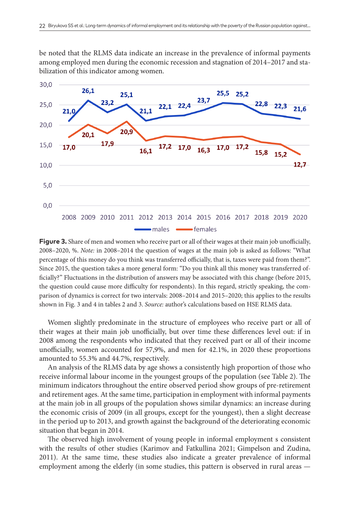be noted that the RLMS data indicate an increase in the prevalence of informal payments among employed men during the economic recession and stagnation of 2014–2017 and stabilization of this indicator among women.



**Figure 3.** Share of men and women who receive part or all of their wages at their main job unofficially, 2008–2020, %. *Note:* in 2008–2014 the question of wages at the main job is asked as follows: "What percentage of this money do you think was transferred officially, that is, taxes were paid from them?". Since 2015, the question takes a more general form: "Do you think all this money was transferred officially?" Fluctuations in the distribution of answers may be associated with this change (before 2015, the question could cause more difficulty for respondents). In this regard, strictly speaking, the comparison of dynamics is correct for two intervals: 2008–2014 and 2015–2020; this applies to the results shown in Fig. 3 and 4 in tables 2 and 3. *Source:* author's calculations based on HSE RLMS data.

Women slightly predominate in the structure of employees who receive part or all of their wages at their main job unofficially, but over time these differences level out: if in 2008 among the respondents who indicated that they received part or all of their income unofficially, women accounted for 57,9%, and men for 42.1%, in 2020 these proportions amounted to 55.3% and 44.7%, respectively.

An analysis of the RLMS data by age shows a consistently high proportion of those who receive informal labour income in the youngest groups of the population (see Table 2). The minimum indicators throughout the entire observed period show groups of pre-retirement and retirement ages. At the same time, participation in employment with informal payments at the main job in all groups of the population shows similar dynamics: an increase during the economic crisis of 2009 (in all groups, except for the youngest), then a slight decrease in the period up to 2013, and growth against the background of the deteriorating economic situation that began in 2014.

The observed high involvement of young people in informal employment s consistent with the results of other studies (Karimov and Fatkullina 2021; Gimpelson and Zudina, 2011). At the same time, these studies also indicate a greater prevalence of informal employment among the elderly (in some studies, this pattern is observed in rural areas —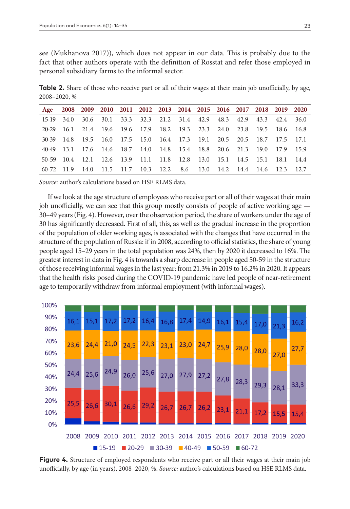see (Mukhanova 2017)), which does not appear in our data. This is probably due to the fact that other authors operate with the definition of Rosstat and refer those employed in personal subsidiary farms to the informal sector.

**Table 2.** Share of those who receive part or all of their wages at their main job unofficially, by age, 2008–2020, %

| Age 2008 2009 2010 2011 2012 2013 2014 2015 2016 2017 2018 2019 2020 |  |  |  |                                                                        |  |  |  |
|----------------------------------------------------------------------|--|--|--|------------------------------------------------------------------------|--|--|--|
|                                                                      |  |  |  | 15-19 34.0 30.6 30.1 33.3 32.3 21.2 31.4 42.9 48.3 42.9 43.3 42.4 36.0 |  |  |  |
|                                                                      |  |  |  | 20-29 16.1 21.4 19.6 19.6 17.9 18.2 19.3 23.3 24.0 23.8 19.5 18.6 16.8 |  |  |  |
|                                                                      |  |  |  | 30-39 14.8 19.5 16.0 17.5 15.0 16.4 17.3 19.1 20.5 20.5 18.7 17.5 17.1 |  |  |  |
|                                                                      |  |  |  | 40-49 13.1 17.6 14.6 18.7 14.0 14.8 15.4 18.8 20.6 21.3 19.0 17.9 15.9 |  |  |  |
|                                                                      |  |  |  | 50-59 10.4 12.1 12.6 13.9 11.1 11.8 12.8 13.0 15.1 14.5 15.1 18.1 14.4 |  |  |  |
|                                                                      |  |  |  | 60-72 11.9 14.0 11.5 11.7 10.3 12.2 8.6 13.0 14.2 14.4 14.6 12.3 12.7  |  |  |  |

*Source:* author's calculations based on HSE RLMS data.

If we look at the age structure of employees who receive part or all of their wages at their main job unofficially, we can see that this group mostly consists of people of active working age — 30–49 years (Fig. 4). However, over the observation period, the share of workers under the age of 30 has significantly decreased. First of all, this, as well as the gradual increase in the proportion of the population of older working ages, is associated with the changes that have occurred in the structure of the population of Russia: if in 2008, according to official statistics, the share of young people aged 15–29 years in the total population was 24%, then by 2020 it decreased to 16%. The greatest interest in data in Fig. 4 is towards a sharp decrease in people aged 50-59 in the structure of those receiving informal wages in the last year: from 21.3% in 2019 to 16.2% in 2020. It appears that the health risks posed during the COVID-19 pandemic have led people of near-retirement age to temporarily withdraw from informal employment (with informal wages).



**Figure 4.** Structure of employed respondents who receive part or all their wages at their main job unofficially, by age (in years), 2008–2020, %. *Source:* author's calculations based on HSE RLMS data.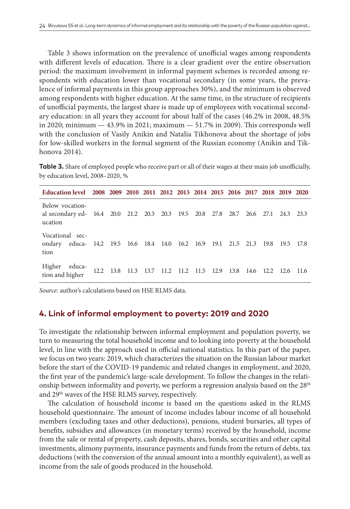Table 3 shows information on the prevalence of unofficial wages among respondents with different levels of education. There is a clear gradient over the entire observation period: the maximum involvement in informal payment schemes is recorded among respondents with education lower than vocational secondary (in some years, the prevalence of informal payments in this group approaches 30%), and the minimum is observed among respondents with higher education. At the same time, in the structure of recipients of unofficial payments, the largest share is made up of employees with vocational secondary education: in all years they account for about half of the cases (46.2% in 2008, 48.5% in 2020; minimum — 43.9% in 2021; maximum — 51.7% in 2009). This corresponds well with the conclusion of Vasily Anikin and Natalia Tikhonova about the shortage of jobs for low-skilled workers in the formal segment of the Russian economy (Anikin and Tikhonova 2014).

**Table 3.** Share of employed people who receive part or all of their wages at their main job unofficially, by education level, 2008–2020, %

| Education level 2008 2009 2010 2011 2012 2013 2014 2015 2016 2017 2018 2019 2020           |  |  |                                         |  |                |                          |           |  |
|--------------------------------------------------------------------------------------------|--|--|-----------------------------------------|--|----------------|--------------------------|-----------|--|
| Below vocation-<br>al secondary ed- 16.4 20.0 21.2 20.3 20.3 19.5 20.8 27.8<br>ucation     |  |  |                                         |  |                | 28.7 26.6 27.1 24.3 23.3 |           |  |
| Vocational sec-<br>ondary educa- 14.2 19.5 16.6 18.4 14.0 16.2 16.9 19.1 21.5 21.3<br>tion |  |  |                                         |  |                | 19.8                     | 19.5 17.8 |  |
| Higher educa-<br>tion and higher                                                           |  |  | 12.2 13.8 11.3 13.7 11.2 11.2 11.5 12.9 |  | 13.8 14.6 12.2 |                          | 12.6 11.6 |  |

*Source:* author's calculations based on HSE RLMS data.

#### **4. Link of informal employment to poverty: 2019 and 2020**

To investigate the relationship between informal employment and population poverty, we turn to measuring the total household income and to looking into poverty at the household level, in line with the approach used in official national statistics. In this part of the paper, we focus on two years: 2019, which characterizes the situation on the Russian labour market before the start of the COVID-19 pandemic and related changes in employment, and 2020, the first year of the pandemic's large-scale development. To follow the changes in the relationship between informality and poverty, we perform a regression analysis based on the 28<sup>th</sup> and 29th waves of the HSE RLMS survey, respectively.

The calculation of household income is based on the questions asked in the RLMS household questionnaire. The amount of income includes labour income of all household members (excluding taxes and other deductions), pensions, student bursaries, all types of benefits, subsidies and allowances (in monetary terms) received by the household, income from the sale or rental of property, cash deposits, shares, bonds, securities and other capital investments, alimony payments, insurance payments and funds from the return of debts, tax deductions (with the conversion of the annual amount into a monthly equivalent), as well as income from the sale of goods produced in the household.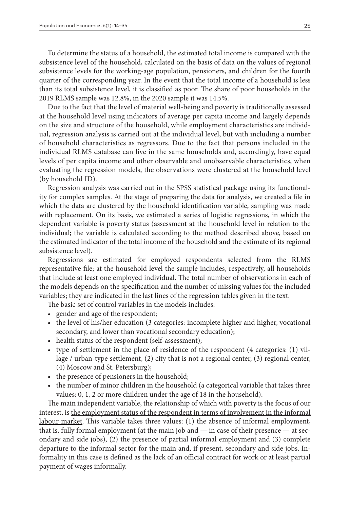To determine the status of a household, the estimated total income is compared with the subsistence level of the household, calculated on the basis of data on the values of regional subsistence levels for the working-age population, pensioners, and children for the fourth quarter of the corresponding year. In the event that the total income of a household is less than its total subsistence level, it is classified as poor. The share of poor households in the 2019 RLMS sample was 12.8%, in the 2020 sample it was 14.5%.

Due to the fact that the level of material well-being and poverty is traditionally assessed at the household level using indicators of average per capita income and largely depends on the size and structure of the household, while employment characteristics are individual, regression analysis is carried out at the individual level, but with including a number of household characteristics as regressors. Due to the fact that persons included in the individual RLMS database can live in the same households and, accordingly, have equal levels of per capita income and other observable and unobservable characteristics, when evaluating the regression models, the observations were clustered at the household level (by household ID).

Regression analysis was carried out in the SPSS statistical package using its functionality for complex samples. At the stage of preparing the data for analysis, we created a file in which the data are clustered by the household identification variable, sampling was made with replacement. On its basis, we estimated a series of logistic regressions, in which the dependent variable is poverty status (assessment at the household level in relation to the individual; the variable is calculated according to the method described above, based on the estimated indicator of the total income of the household and the estimate of its regional subsistence level).

Regressions are estimated for employed respondents selected from the RLMS representative file; at the household level the sample includes, respectively, all households that include at least one employed individual. The total number of observations in each of the models depends on the specification and the number of missing values for the included variables; they are indicated in the last lines of the regression tables given in the text.

The basic set of control variables in the models includes:

- gender and age of the respondent;
- the level of his/her education (3 categories: incomplete higher and higher, vocational secondary, and lower than vocational secondary education);
- health status of the respondent (self-assessment);
- type of settlement in the place of residence of the respondent (4 categories: (1) village / urban-type settlement, (2) city that is not a regional center, (3) regional center, (4) Moscow and St. Petersburg);
- the presence of pensioners in the household;
- the number of minor children in the household (a categorical variable that takes three values: 0, 1, 2 or more children under the age of 18 in the household).

The main independent variable, the relationship of which with poverty is the focus of our interest, is the employment status of the respondent in terms of involvement in the informal labour market. This variable takes three values: (1) the absence of informal employment, that is, fully formal employment (at the main job and — in case of their presence — at secondary and side jobs), (2) the presence of partial informal employment and (3) complete departure to the informal sector for the main and, if present, secondary and side jobs. Informality in this case is defined as the lack of an official contract for work or at least partial payment of wages informally.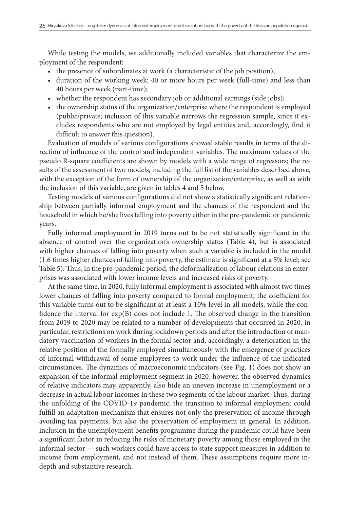While testing the models, we additionally included variables that characterize the employment of the respondent:

- the presence of subordinates at work (a characteristic of the job position);
- duration of the working week: 40 or more hours per week (full-time) and less than 40 hours per week (part-time);
- whether the respondent has secondary job or additional earnings (side jobs);
- the ownership status of the organization/enterprise where the respondent is employed (public/private; inclusion of this variable narrows the regression sample, since it excludes respondents who are not employed by legal entities and, accordingly, find it difficult to answer this question).

Evaluation of models of various configurations showed stable results in terms of the direction of influence of the control and independent variables. The maximum values of the pseudo R-square coefficients are shown by models with a wide range of regressors; the results of the assessment of two models, including the full list of the variables described above, with the exception of the form of ownership of the organization/enterprise, as well as with the inclusion of this variable, are given in tables 4 and 5 below.

Testing models of various configurations did not show a statistically significant relationship between partially informal employment and the chances of the respondent and the household in which he/she lives falling into poverty either in the pre-pandemic or pandemic years.

Fully informal employment in 2019 turns out to be not statistically significant in the absence of control over the organization's ownership status (Table 4), but is associated with higher chances of falling into poverty when such a variable is included in the model (1.6 times higher chances of falling into poverty, the estimate is significant at a 5% level; see Table 5). Thus, in the pre-pandemic period, the deformalization of labour relations in enterprises was associated with lower income levels and increased risks of poverty.

At the same time, in 2020, fully informal employment is associated with almost two times lower chances of falling into poverty compared to formal employment, the coefficient for this variable turns out to be significant at at least a 10% level in all models, while the confidence the interval for  $exp(B)$  does not include 1. The observed change in the transition from 2019 to 2020 may be related to a number of developments that occurred in 2020, in particular, restrictions on work during lockdown periods and after the introduction of mandatory vaccination of workers in the formal sector and, accordingly, a deterioration in the relative position of the formally employed simultaneously with the emergence of practices of informal withdrawal of some employees to work under the influence of the indicated circumstances. The dynamics of macroeconomic indicators (see Fig. 1) does not show an expansion of the informal employment segment in 2020, however, the observed dynamics of relative indicators may, apparently, also hide an uneven increase in unemployment or a decrease in actual labour incomes in these two segments of the labour market. Thus, during the unfolding of the COVID-19 pandemic, the transition to informal employment could fulfill an adaptation mechanism that ensures not only the preservation of income through avoiding tax payments, but also the preservation of employment in general. In addition, inclusion in the unemployment benefits programme during the pandemic could have been a significant factor in reducing the risks of monetary poverty among those employed in the informal sector — such workers could have access to state support measures in addition to income from employment, and not instead of them. These assumptions require more indepth and substantive research.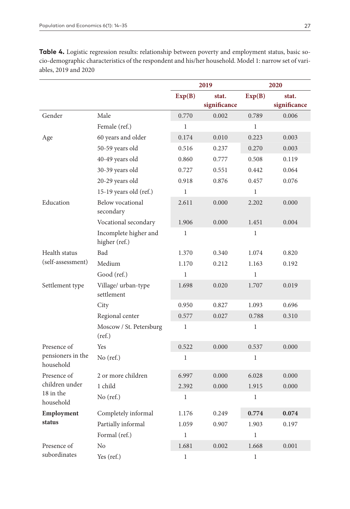|                                |                                        |              | 2019         | 2020         |              |  |
|--------------------------------|----------------------------------------|--------------|--------------|--------------|--------------|--|
|                                |                                        | Exp(B)       | stat.        | Exp(B)       | stat.        |  |
|                                |                                        |              | significance |              | significance |  |
| Gender                         | Male                                   | 0.770        | 0.002        | 0.789        | 0.006        |  |
|                                | Female (ref.)                          | $\mathbf{1}$ |              | $\mathbf{1}$ |              |  |
| Age                            | 60 years and older                     | 0.174        | 0.010        | 0.223        | 0.003        |  |
|                                | 50-59 years old                        | 0.516        | 0.237        | 0.270        | 0.003        |  |
|                                | 40-49 years old                        | 0.860        | 0.777        | 0.508        | 0.119        |  |
|                                | 30-39 years old                        | 0.727        | 0.551        | 0.442        | 0.064        |  |
|                                | 20-29 years old                        | 0.918        | 0.876        | 0.457        | 0.076        |  |
|                                | 15-19 years old (ref.)                 | $\mathbf{1}$ |              | $\mathbf{1}$ |              |  |
| Education                      | Below vocational<br>secondary          | 2.611        | 0.000        | 2.202        | 0.000        |  |
|                                | Vocational secondary                   | 1.906        | 0.000        | 1.451        | 0.004        |  |
|                                | Incomplete higher and<br>higher (ref.) | $\mathbf{1}$ |              | $\mathbf{1}$ |              |  |
| Health status                  | Bad                                    | 1.370        | 0.340        | 1.074        | 0.820        |  |
| (self-assessment)              | Medium                                 | 1.170        | 0.212        | 1.163        | 0.192        |  |
|                                | Good (ref.)                            | $\mathbf 1$  |              | $\mathbf{1}$ |              |  |
| Settlement type                | Village/ urban-type<br>settlement      | 1.698        | 0.020        | 1.707        | 0.019        |  |
|                                | City                                   | 0.950        | 0.827        | 1.093        | 0.696        |  |
|                                | Regional center                        | 0.577        | 0.027        | 0.788        | 0.310        |  |
|                                | Moscow / St. Petersburg<br>(ref.)      | $\mathbf 1$  |              | $\mathbf{1}$ |              |  |
| Presence of                    | Yes                                    | 0.522        | 0.000        | 0.537        | 0.000        |  |
| pensioners in the<br>household | $No$ (ref.)                            | 1            |              | $\mathbf{1}$ |              |  |
| Presence of                    | 2 or more children                     | 6.997        | 0.000        | 6.028        | 0.000        |  |
| children under                 | 1 child                                | 2.392        | 0.000        | 1.915        | 0.000        |  |
| 18 in the<br>household         | $No$ (ref.)                            | $\mathbf 1$  |              | $\mathbf{1}$ |              |  |
| Employment                     | Completely informal                    | 1.176        | 0.249        | 0.774        | 0.074        |  |
| status                         | Partially informal                     | 1.059        | 0.907        | 1.903        | 0.197        |  |
|                                | Formal (ref.)                          | $\mathbf{1}$ |              | $\mathbf{1}$ |              |  |
| Presence of                    | N <sub>0</sub>                         | 1.681        | 0.002        | 1.668        | 0.001        |  |
| subordinates                   | Yes (ref.)                             | 1            |              | 1            |              |  |

**Table 4.** Logistic regression results: relationship between poverty and employment status, basic socio-demographic characteristics of the respondent and his/her household. Model 1: narrow set of variables, 2019 and 2020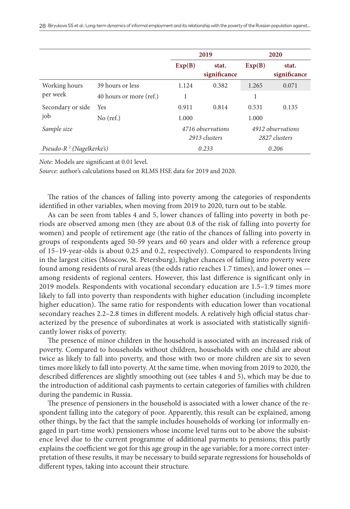|                              |                         |                                    | 2019                  |                                    | 2020                  |
|------------------------------|-------------------------|------------------------------------|-----------------------|------------------------------------|-----------------------|
|                              |                         | Exp(B)                             | stat.<br>significance | Exp(B)                             | stat.<br>significance |
| Working hours<br>per week    | 39 hours or less        | 1.124                              | 0.382                 | 1.265                              | 0.071                 |
|                              | 40 hours or more (ref.) | 1                                  |                       | 1                                  |                       |
| Secondary or side            | Yes                     | 0.911                              | 0.814                 | 0.531                              | 0.135                 |
| job                          | $No$ (ref.)             | 1.000                              |                       | 1.000                              |                       |
| Sample size                  |                         | 4716 observations<br>2913 clusters |                       | 4912 observations<br>2827 clusters |                       |
| Pseudo- $R^2$ (Nagelkerke's) |                         | 0.233                              | 0.206                 |                                    |                       |

*Note:* Models are significant at 0.01 level.

*Source:* author's calculations based on RLMS HSE data for 2019 and 2020.

The ratios of the chances of falling into poverty among the categories of respondents identified in other variables, when moving from 2019 to 2020, turn out to be stable.

As can be seen from tables 4 and 5, lower chances of falling into poverty in both periods are observed among men (they are about 0.8 of the risk of falling into poverty for women) and people of retirement age (the ratio of the chances of falling into poverty in groups of respondents aged 50-59 years and 60 years and older with a reference group of 15–19-year-olds is about 0.25 and 0.2, respectively). Compared to respondents living in the largest cities (Moscow, St. Petersburg), higher chances of falling into poverty were found among residents of rural areas (the odds ratio reaches 1.7 times), and lower ones among residents of regional centers. However, this last difference is significant only in 2019 models. Respondents with vocational secondary education are 1.5–1.9 times more likely to fall into poverty than respondents with higher education (including incomplete higher education). The same ratio for respondents with education lower than vocational secondary reaches 2.2–2.8 times in different models. A relatively high official status characterized by the presence of subordinates at work is associated with statistically significantly lower risks of poverty.

The presence of minor children in the household is associated with an increased risk of poverty. Compared to households without children, households with one child are about twice as likely to fall into poverty, and those with two or more children are six to seven times more likely to fall into poverty. At the same time, when moving from 2019 to 2020, the described differences are slightly smoothing out (see tables 4 and 5), which may be due to the introduction of additional cash payments to certain categories of families with children during the pandemic in Russia.

The presence of pensioners in the household is associated with a lower chance of the respondent falling into the category of poor. Apparently, this result can be explained, among other things, by the fact that the sample includes households of working (or informally engaged in part-time work) pensioners whose income level turns out to be above the subsistence level due to the current programme of additional payments to pensions; this partly explains the coefficient we got for this age group in the age variable; for a more correct interpretation of these results, it may be necessary to build separate regressions for households of different types, taking into account their structure.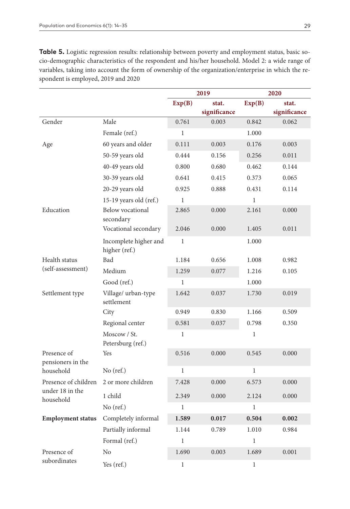**Table 5.** Logistic regression results: relationship between poverty and employment status, basic socio-demographic characteristics of the respondent and his/her household. Model 2: a wide range of variables, taking into account the form of ownership of the organization/enterprise in which the respondent is employed, 2019 and 2020

|                                  |                                        |              | 2019         | 2020         |              |  |  |
|----------------------------------|----------------------------------------|--------------|--------------|--------------|--------------|--|--|
|                                  |                                        | Exp(B)       | stat.        | Exp(B)       | stat.        |  |  |
|                                  |                                        |              | significance |              | significance |  |  |
| Gender                           | Male                                   | 0.761        | 0.003        | 0.842        | 0.062        |  |  |
|                                  | Female (ref.)                          | $\mathbf{1}$ |              | 1.000        |              |  |  |
| Age                              | 60 years and older                     | 0.111        | 0.003        | 0.176        | 0.003        |  |  |
|                                  | 50-59 years old                        | 0.444        | 0.156        | 0.256        | 0.011        |  |  |
|                                  | 40-49 years old                        | 0.800        | 0.680        | 0.462        | 0.144        |  |  |
|                                  | 30-39 years old                        | 0.641        | 0.415        | 0.373        | 0.065        |  |  |
|                                  | 20-29 years old                        | 0.925        | 0.888        |              | 0.114        |  |  |
|                                  | 15-19 years old $(ref.)$               | $\mathbf{1}$ |              | $\mathbf{1}$ |              |  |  |
| Education                        | <b>Below</b> vocational<br>secondary   | 2.865        | 0.000        | 2.161        | 0.000        |  |  |
|                                  | Vocational secondary                   | 2.046        | 0.000        | 1.405        | 0.011        |  |  |
|                                  | Incomplete higher and<br>higher (ref.) | $\mathbf{1}$ |              | 1.000        |              |  |  |
| Health status                    | Bad                                    | 1.184        | 0.656        | 1.008        | 0.982        |  |  |
| (self-assessment)                | Medium                                 | 1.259        | 0.077        | 1.216        | 0.105        |  |  |
|                                  | Good (ref.)                            | $\mathbf{1}$ |              | 1.000        |              |  |  |
| Settlement type                  | Village/ urban-type<br>settlement      | 1.642        | 0.037        | 1.730        | 0.019        |  |  |
|                                  | City                                   | 0.949        | 0.830        | 1.166        | 0.509        |  |  |
|                                  | Regional center                        | 0.581        | 0.037        | 0.798        | 0.350        |  |  |
|                                  | Moscow / St.<br>Petersburg (ref.)      | $\mathbf{1}$ |              | $\mathbf 1$  |              |  |  |
| Presence of<br>pensioners in the | Yes                                    | 0.516        | 0.000        | 0.545        | 0.000        |  |  |
| household                        | No (ref.)                              | $\mathbf{1}$ |              | $\mathbf{1}$ |              |  |  |
| Presence of children             | 2 or more children                     | 7.428        | 0.000        | 6.573        | 0.000        |  |  |
| under 18 in the<br>household     | 1 child                                | 2.349        | 0.000        | 2.124        | 0.000        |  |  |
|                                  | $No$ (ref.)                            | $\mathbf{1}$ |              | $\mathbf{1}$ |              |  |  |
| <b>Employment status</b>         | Completely informal                    | 1.589        | 0.017        | 0.504        | 0.002        |  |  |
|                                  | Partially informal                     | 1.144        | 0.789        | 1.010        | 0.984        |  |  |
|                                  | Formal (ref.)                          | $\mathbf{1}$ |              | 1            |              |  |  |
| Presence of                      | No                                     | 1.690        | 0.003        | 1.689        | 0.001        |  |  |
| subordinates                     | Yes (ref.)                             | $\mathbf{1}$ |              | 1            |              |  |  |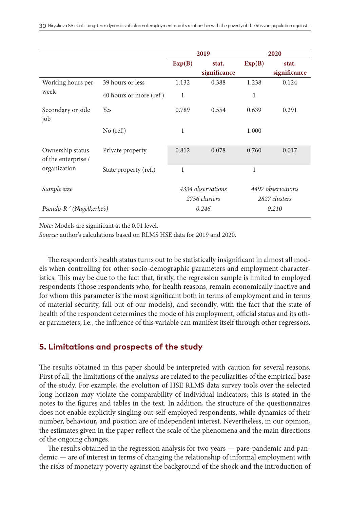|                                         |                         |                                    | 2019         |                                    | 2020         |  |
|-----------------------------------------|-------------------------|------------------------------------|--------------|------------------------------------|--------------|--|
|                                         |                         | Exp(B)                             | stat.        | Exp(B)                             | stat.        |  |
|                                         |                         |                                    | significance |                                    | significance |  |
| Working hours per                       | 39 hours or less        | 1.132                              | 0.388        | 1.238                              | 0.124        |  |
| week                                    | 40 hours or more (ref.) | 1                                  |              | 1                                  |              |  |
| Secondary or side<br>job                | Yes                     | 0.789                              | 0.554        | 0.639                              | 0.291        |  |
|                                         | $No$ (ref.)             | $\mathbf{1}$                       |              | 1.000                              |              |  |
| Ownership status<br>of the enterprise / | Private property        | 0.812                              | 0.078        |                                    | 0.017        |  |
| organization                            | State property (ref.)   | 1                                  |              | 1                                  |              |  |
| Sample size                             |                         | 4334 observations<br>2756 clusters |              | 4497 observations<br>2827 clusters |              |  |
| Pseudo- $R^2$ (Nagelkerke's)            |                         |                                    | 0.246        | 0.210                              |              |  |

*Note:* Models are significant at the 0.01 level.

*Source:* author's calculations based on RLMS HSE data for 2019 and 2020.

The respondent's health status turns out to be statistically insignificant in almost all models when controlling for other socio-demographic parameters and employment characteristics. This may be due to the fact that, firstly, the regression sample is limited to employed respondents (those respondents who, for health reasons, remain economically inactive and for whom this parameter is the most significant both in terms of employment and in terms of material security, fall out of our models), and secondly, with the fact that the state of health of the respondent determines the mode of his employment, official status and its other parameters, i.e., the influence of this variable can manifest itself through other regressors.

# **5. Limitations and prospects of the study**

The results obtained in this paper should be interpreted with caution for several reasons. First of all, the limitations of the analysis are related to the peculiarities of the empirical base of the study. For example, the evolution of HSE RLMS data survey tools over the selected long horizon may violate the comparability of individual indicators; this is stated in the notes to the figures and tables in the text. In addition, the structure of the questionnaires does not enable explicitly singling out self-employed respondents, while dynamics of their number, behaviour, and position are of independent interest. Nevertheless, in our opinion, the estimates given in the paper reflect the scale of the phenomena and the main directions of the ongoing changes.

The results obtained in the regression analysis for two years — pare-pandemic and pandemic — are of interest in terms of changing the relationship of informal employment with the risks of monetary poverty against the background of the shock and the introduction of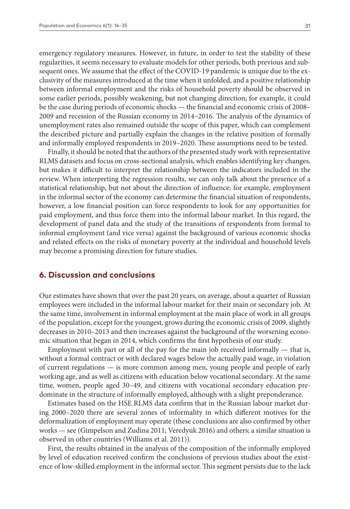emergency regulatory measures. However, in future, in order to test the stability of these regularities, it seems necessary to evaluate models for other periods, both previous and subsequent ones. We assume that the effect of the COVID-19 pandemic is unique due to the exclusivity of the measures introduced at the time when it unfolded, and a positive relationship between informal employment and the risks of household poverty should be observed in some earlier periods, possibly weakening, but not changing direction; for example, it could be the case during periods of economic shocks — the financial and economic crisis of 2008– 2009 and recession of the Russian economy in 2014–2016. The analysis of the dynamics of unemployment rates also remained outside the scope of this paper, which can complement the described picture and partially explain the changes in the relative position of formally and informally employed respondents in 2019–2020. These assumptions need to be tested.

Finally, it should be noted that the authors of the presented study work with representative RLMS datasets and focus on cross-sectional analysis, which enables identifying key changes, but makes it difficult to interpret the relationship between the indicators included in the review. When interpreting the regression results, we can only talk about the presence of a statistical relationship, but not about the direction of influence: for example, employment in the informal sector of the economy can determine the financial situation of respondents, however, a low financial position can force respondents to look for any opportunities for paid employment, and thus force them into the informal labour market. In this regard, the development of panel data and the study of the transitions of respondents from formal to informal employment (and vice versa) against the background of various economic shocks and related effects on the risks of monetary poverty at the individual and household levels may become a promising direction for future studies.

# **6. Discussion and conclusions**

Our estimates have shown that over the past 20 years, on average, about a quarter of Russian employees were included in the informal labour market for their main or secondary job. At the same time, involvement in informal employment at the main place of work in all groups of the population, except for the youngest, grows during the economic crisis of 2009, slightly decreases in 2010–2013 and then increases against the background of the worsening economic situation that began in 2014, which confirms the first hypothesis of our study.

Employment with part or all of the pay for the main job received informally — that is, without a formal contract or with declared wages below the actually paid wage, in violation of current regulations — is more common among men, young people and people of early working age, and as well as citizens with education below vocational secondary. At the same time, women, people aged 30–49, and citizens with vocational secondary education predominate in the structure of informally employed, although with a slight preponderance.

Estimates based on the HSE RLMS data confirm that in the Russian labour market during 2000–2020 there are several zones of informality in which different motives for the deformalization of employment may operate (these conclusions are also confirmed by other works — see (Gimpelson and Zudina 2011; Veredyuk 2016) and others; a similar situation is observed in other countries (Williams et al. 2011)).

First, the results obtained in the analysis of the composition of the informally employed by level of education received confirm the conclusions of previous studies about the existence of low-skilled employment in the informal sector. This segment persists due to the lack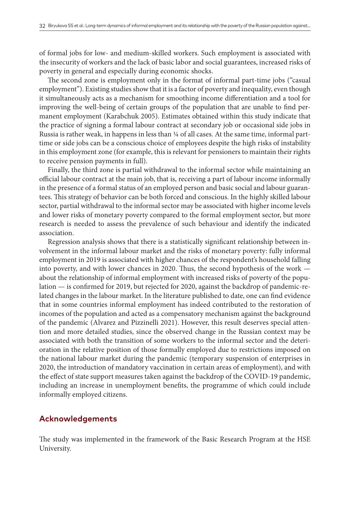of formal jobs for low- and medium-skilled workers. Such employment is associated with the insecurity of workers and the lack of basic labor and social guarantees, increased risks of poverty in general and especially during economic shocks.

The second zone is employment only in the format of informal part-time jobs ("casual employment"). Existing studies show that it is a factor of poverty and inequality, even though it simultaneously acts as a mechanism for smoothing income differentiation and a tool for improving the well-being of certain groups of the population that are unable to find permanent employment (Karabchuk 2005). Estimates obtained within this study indicate that the practice of signing a formal labour contract at secondary job or occasional side jobs in Russia is rather weak, in happens in less than ¼ of all cases. At the same time, informal parttime or side jobs can be a conscious choice of employees despite the high risks of instability in this employment zone (for example, this is relevant for pensioners to maintain their rights to receive pension payments in full).

Finally, the third zone is partial withdrawal to the informal sector while maintaining an official labour contract at the main job, that is, receiving a part of labour income informally in the presence of a formal status of an employed person and basic social and labour guarantees. This strategy of behavior can be both forced and conscious. In the highly skilled labour sector, partial withdrawal to the informal sector may be associated with higher income levels and lower risks of monetary poverty compared to the formal employment sector, but more research is needed to assess the prevalence of such behaviour and identify the indicated association.

Regression analysis shows that there is a statistically significant relationship between involvement in the informal labour market and the risks of monetary poverty: fully informal employment in 2019 is associated with higher chances of the respondent's household falling into poverty, and with lower chances in 2020. Thus, the second hypothesis of the work about the relationship of informal employment with increased risks of poverty of the population — is confirmed for 2019, but rejected for 2020, against the backdrop of pandemic-related changes in the labour market. In the literature published to date, one can find evidence that in some countries informal employment has indeed contributed to the restoration of incomes of the population and acted as a compensatory mechanism against the background of the pandemic (Alvarez and Pizzinelli 2021). However, this result deserves special attention and more detailed studies, since the observed change in the Russian context may be associated with both the transition of some workers to the informal sector and the deterioration in the relative position of those formally employed due to restrictions imposed on the national labour market during the pandemic (temporary suspension of enterprises in 2020, the introduction of mandatory vaccination in certain areas of employment), and with the effect of state support measures taken against the backdrop of the COVID-19 pandemic, including an increase in unemployment benefits, the programme of which could include informally employed citizens.

## **Acknowledgements**

The study was implemented in the framework of the Basic Research Program at the HSE University.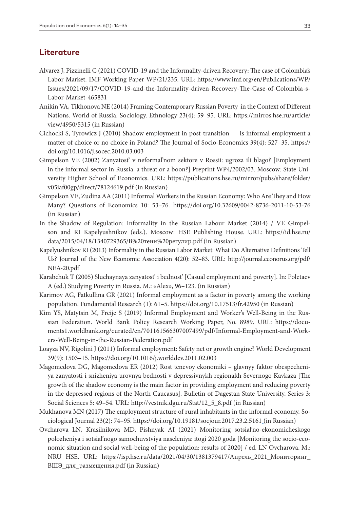# **Literature**

- Alvarez J, Pizzinelli C (2021) COVID-19 and the Informality-driven Recovery: The case of Colombia's Labor Market. IMF Working Paper WP/21/235. URL: [https://www.imf.org/en/Publications/WP/](https://www.imf.org/en/Publications/WP/Issues/2021/09/17/COVID-19-and-the-Informality-driven-Recovery-The-Case-of-Colombia-s-Labor-Market-465831) [Issues/2021/09/17/COVID-19-and-the-Informality-driven-Recovery-The-Case-of-Colombia-s-](https://www.imf.org/en/Publications/WP/Issues/2021/09/17/COVID-19-and-the-Informality-driven-Recovery-The-Case-of-Colombia-s-Labor-Market-465831)[Labor-Market-465831](https://www.imf.org/en/Publications/WP/Issues/2021/09/17/COVID-19-and-the-Informality-driven-Recovery-The-Case-of-Colombia-s-Labor-Market-465831)
- Anikin VA, Tikhonova NE (2014) Framing Contemporary Russian Poverty in the Context of Different Nations. World of Russia. Sociology. Ethnology 23(4): 59–95. URL: [https://mirros.hse.ru/article/](https://mirros.hse.ru/article/view/4950/5315) [view/4950/5315](https://mirros.hse.ru/article/view/4950/5315) (in Russian)
- Cichocki S, Tyrowicz J (2010) Shadow employment in post-transition Is informal employment a matter of choice or no choice in Poland? The Journal of Socio-Economics 39(4): 527–35. [https://](https://doi.org/10.1016/j.socec.2010.03.003) [doi.org/10.1016/j.socec.2010.03.003](https://doi.org/10.1016/j.socec.2010.03.003)
- Gimpelson VE (2002) Zanyatost' v neformal'nom sektore v Rossii: ugroza ili blago? [Employment in the informal sector in Russia: a threat or a boon?] Preprint WP4/2002/03. Moscow: State University Higher School of Economics. URL: [https://publications.hse.ru/mirror/pubs/share/folder/](https://publications.hse.ru/mirror/pubs/share/folder/v05iaf00gp/direct/78124619.pdf) [v05iaf00gp/direct/78124619.pdf](https://publications.hse.ru/mirror/pubs/share/folder/v05iaf00gp/direct/78124619.pdf) (in Russian)
- Gimpelson VE, Zudina AA (2011) Informal Workers in the Russian Economy: Who Are They and How Many? Questions of Economics 10: 53–76. <https://doi.org/10.32609/0042-8736-2011-10-53-76> (in Russian)
- In the Shadow of Regulation: Informality in the Russian Labour Market (2014) / VE Gimpelson and RI Kapelyushnikov (eds.). Moscow: HSE Publishing House. URL: [https://id.hse.ru/](https://id.hse.ru/data/2015/04/18/1340729365/%D0%92%20%D1%82%D0%B5%D0%BD%D0%B8%20%D1%80%D0%B5%D0%B3%D1%83%D0%BB%D0%B8%D1%80.pdf) [data/2015/04/18/1340729365/В%20тени%20регулир.pdf](https://id.hse.ru/data/2015/04/18/1340729365/%D0%92%20%D1%82%D0%B5%D0%BD%D0%B8%20%D1%80%D0%B5%D0%B3%D1%83%D0%BB%D0%B8%D1%80.pdf) (in Russian)
- Kapelyushnikov RI (2013) Informality in the Russian Labor Market: What Do Alternative Definitions Tell Us? Journal of the New Economic Association 4(20): 52–83. URL: [http://journal.econorus.org/pdf/](http://journal.econorus.org/pdf/NEA-20.pdf) [NEA-20.pdf](http://journal.econorus.org/pdf/NEA-20.pdf)
- Karabchuk T (2005) Sluchaynaya zanyatost' i bednost' [Casual employment and poverty]. In: Poletaev A (ed.) Studying Poverty in Russia. M.: «Alex», 96–123. (in Russian)
- Karimov AG, Fatkullina GR (2021) Informal employment as a factor in poverty among the working population. Fundamental Research (1): 61–5. <https://doi.org/10.17513/fr.42950>(in Russian)
- Kim YS, Matytsin M, Freije S (2019) Informal Employment and Worker's Well-Being in the Russian Federation. World Bank Policy Research Working Paper, No. 8989. URL: [https://docu](https://documents1.worldbank.org/curated/en/701161566307007499/pdf/Informal-Employment-and-Workers-Well-Being-in-the-Russian-Federation.pdf)[ments1.worldbank.org/curated/en/701161566307007499/pdf/Informal-Employment-and-Work](https://documents1.worldbank.org/curated/en/701161566307007499/pdf/Informal-Employment-and-Workers-Well-Being-in-the-Russian-Federation.pdf)[ers-Well-Being-in-the-Russian-Federation.pdf](https://documents1.worldbank.org/curated/en/701161566307007499/pdf/Informal-Employment-and-Workers-Well-Being-in-the-Russian-Federation.pdf)
- Loayza NV, Rigolini J (2011) Informal employment: Safety net or growth engine? World Development 39(9): 1503–15. <https://doi.org/10.1016/j.worlddev.2011.02.003>
- Magomedova DG, Magomedova ER (2012) Rost tenevoy ekonomiki glavnyy faktor obespecheniya zanyatosti i snizheniya urovnya bednosti v depressivnykh regionakh Severnogo Kavkaza [The growth of the shadow economy is the main factor in providing employment and reducing poverty in the depressed regions of the North Caucasus]. Bulletin of Dagestan State University. Series 3: Social Sciences 5: 49–54. URL: [http://vestnik.dgu.ru/Stat/12\\_5\\_8.pdf](http://vestnik.dgu.ru/Stat/12_5_8.pdf) (in Russian)
- Mukhanova MN (2017) The employment structure of rural inhabitants in the informal economy. Sociological Journal 23(2): 74–95.<https://doi.org/10.19181/socjour.2017.23.2.5161> (in Russian)
- Ovcharova LN, Krasilnikova MD, Pishnyak AI (2021) Monitoring sotsial'no-ekonomicheskogo polozheniya i sotsial'nogo samochuvstviya naseleniya: itogi 2020 goda [Monitoring the socio-economic situation and social well-being of the population: results of 2020] / ed. LN Ovcharova. M.: NRU HSE. URL: [https://isp.hse.ru/data/2021/04/30/1381379417/Апрель\\_2021\\_Мониторинг\\_](https://isp.hse.ru/data/2021/04/30/1381379417/%D0%90%D0%BF%D1%80%D0%B5%D0%BB%D1%8C_2021_%D0%9C%D0%BE%D0%BD%D0%B8%D1%82%D0%BE%D1%80%D0%B8%D0%BD%D0%B3_%D0%92%D0%A8%D0%AD_%D0%B4%D0%BB%D1%8F_%D1%80%D0%B0%D0%B7%D0%BC%D0%B5%D1%89%D0%B5%D0%BD%D0%B8%D1%8F.pdf) [ВШЭ\\_для\\_размещения.pdf](https://isp.hse.ru/data/2021/04/30/1381379417/%D0%90%D0%BF%D1%80%D0%B5%D0%BB%D1%8C_2021_%D0%9C%D0%BE%D0%BD%D0%B8%D1%82%D0%BE%D1%80%D0%B8%D0%BD%D0%B3_%D0%92%D0%A8%D0%AD_%D0%B4%D0%BB%D1%8F_%D1%80%D0%B0%D0%B7%D0%BC%D0%B5%D1%89%D0%B5%D0%BD%D0%B8%D1%8F.pdf) (in Russian)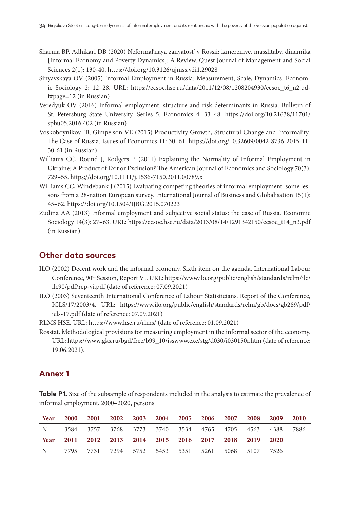- Sharma BP, Adhikari DB (2020) Neformal'naya zanyatost' v Rossii: izmereniye, masshtaby, dinamika [Informal Economy and Poverty Dynamics]: A Review. Quest Journal of Management and Social Sciences 2(1): 130-40. <https://doi.org/10.3126/qjmss.v2i1.29028>
- Sinyavskaya OV (2005) Informal Employment in Russia: Measurement, Scale, Dynamics. Economic Sociology 2: 12–28. URL: [https://ecsoc.hse.ru/data/2011/12/08/1208204930/ecsoc\\_t6\\_n2.pd](https://ecsoc.hse.ru/data/2011/12/08/1208204930/ecsoc_t6_n2.pdf#page=12)[f#page=12](https://ecsoc.hse.ru/data/2011/12/08/1208204930/ecsoc_t6_n2.pdf#page=12) (in Russian)
- Veredyuk OV (2016) Informal employment: structure and risk determinants in Russia. Bulletin of St. Petersburg State University. Series 5. Economics 4: 33–48. [https://doi.org/10.21638/11701/](https://doi.org/10.21638/11701/spbu05.2016.402) [spbu05.2016.402](https://doi.org/10.21638/11701/spbu05.2016.402) (in Russian)
- Voskoboynikov IB, Gimpelson VE (2015) Productivity Growth, Structural Change and Informality: The Case of Russia. Issues of Economics 11: 30–61. [https://doi.org/10.32609/0042-8736-2015-11-](https://doi.org/10.32609/0042-8736-2015-11-30-61) [30-61](https://doi.org/10.32609/0042-8736-2015-11-30-61) (in Russian)
- Williams CC, Round J, Rodgers P (2011) Explaining the Normality of Informal Employment in Ukraine: A Product of Exit or Exclusion? The American Journal of Economics and Sociology 70(3): 729–55.<https://doi.org/10.1111/j.1536-7150.2011.00789.x>
- Williams CC, Windebank J (2015) Evaluating competing theories of informal employment: some lessons from a 28-nation European survey. International Journal of Business and Globalisation 15(1): 45–62. <https://doi.org/10.1504/IJBG.2015.070223>
- Zudina AA (2013) Informal employment and subjective social status: the case of Russia. Economic Sociology 14(3): 27–63. URL: [https://ecsoc.hse.ru/data/2013/08/14/1291342150/ecsoc\\_t14\\_n3.pdf](https://ecsoc.hse.ru/data/2013/08/14/1291342150/ecsoc_t14_n3.pdf) (in Russian)

# **Other data sources**

- ILO (2002) Decent work and the informal economy. Sixth item on the agenda. International Labour Conference, 90th Session, Report VI. URL: [https://www.ilo.org/public/english/standards/relm/ilc/](https://www.ilo.org/public/english/standards/relm/ilc/ilc90/pdf/rep-vi.pdf) [ilc90/pdf/rep-vi.pdf](https://www.ilo.org/public/english/standards/relm/ilc/ilc90/pdf/rep-vi.pdf) (date of reference: 07.09.2021)
- ILO (2003) Seventeenth International Conference of Labour Statisticians. Report of the Conference, ICLS/17/2003/4. URL: [https://www.ilo.org/public/english/standards/relm/gb/docs/gb289/pdf/](https://www.ilo.org/public/english/standards/relm/gb/docs/gb289/pdf/icls-17.pdf) [icls-17.pdf](https://www.ilo.org/public/english/standards/relm/gb/docs/gb289/pdf/icls-17.pdf) (date of reference: 07.09.2021)
- RLMS HSE. URL: <https://www.hse.ru/rlms/>(date of reference: 01.09.2021)
- Rosstat. Methodological provisions for measuring employment in the informal sector of the economy. URL: [https://www.gks.ru/bgd/free/b99\\_10/isswww.exe/stg/d030/i030150r.htm](https://www.gks.ru/bgd/free/b99_10/isswww.exe/stg/d030/i030150r.htm) (date of reference: 19.06.2021).

## **Annex 1**

**Table P1.** Size of the subsample of respondents included in the analysis to estimate the prevalence of informal employment, 2000–2020, persons

| Year |  |  | 2000 2001 2002 2003 2004 2005 2006 2007 2008 2009 2010   |  |  |  |
|------|--|--|----------------------------------------------------------|--|--|--|
|      |  |  | N 3584 3757 3768 3773 3740 3534 4765 4705 4563 4388 7886 |  |  |  |
|      |  |  | Year 2011 2012 2013 2014 2015 2016 2017 2018 2019 2020   |  |  |  |
|      |  |  | N 7795 7731 7294 5752 5453 5351 5261 5068 5107 7526      |  |  |  |